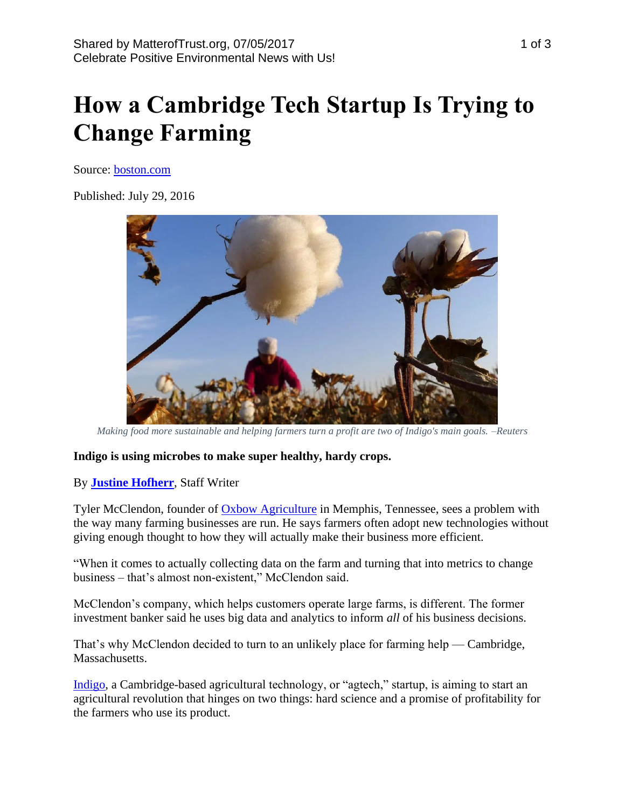# **How a Cambridge Tech Startup Is Trying to Change Farming**

Source: [boston.com](https://www.boston.com/jobs/jobs-news/2016/07/29/meet-indigo-boston-based-startup-changing-face-agtech)

Published: July 29, 2016



*Making food more sustainable and helping farmers turn a profit are two of Indigo's main goals. –Reuters*

#### **Indigo is using microbes to make super healthy, hardy crops.**

# By **[Justine Hofherr](https://www.boston.com/author/justine-hofherr)**, Staff Writer

Tyler McClendon, founder of [Oxbow Agriculture](http://www.oxbowagriculture.com/) in Memphis, Tennessee, sees a problem with the way many farming businesses are run. He says farmers often adopt new technologies without giving enough thought to how they will actually make their business more efficient.

"When it comes to actually collecting data on the farm and turning that into metrics to change business – that's almost non-existent," McClendon said.

McClendon's company, which helps customers operate large farms, is different. The former investment banker said he uses big data and analytics to inform *all* of his business decisions.

That's why McClendon decided to turn to an unlikely place for farming help — Cambridge, Massachusetts.

[Indigo,](http://www.indigoag.com/) a Cambridge-based agricultural technology, or "agtech," startup, is aiming to start an agricultural revolution that hinges on two things: hard science and a promise of profitability for the farmers who use its product.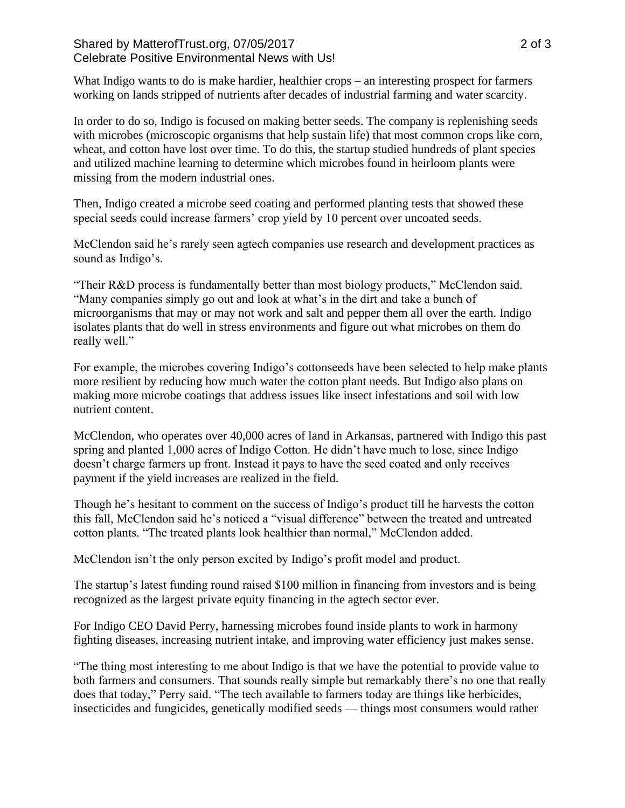## Shared by MatterofTrust.org, 07/05/2017 2 of 3 Celebrate Positive Environmental News with Us!

What Indigo wants to do is make hardier, healthier crops – an interesting prospect for farmers working on lands stripped of nutrients after decades of industrial farming and water scarcity.

In order to do so, Indigo is focused on making better seeds. The company is replenishing seeds with microbes (microscopic organisms that help sustain life) that most common crops like corn, wheat, and cotton have lost over time. To do this, the startup studied hundreds of plant species and utilized machine learning to determine which microbes found in heirloom plants were missing from the modern industrial ones.

Then, Indigo created a microbe seed coating and performed planting tests that showed these special seeds could increase farmers' crop yield by 10 percent over uncoated seeds.

McClendon said he's rarely seen agtech companies use research and development practices as sound as Indigo's.

"Their R&D process is fundamentally better than most biology products," McClendon said. "Many companies simply go out and look at what's in the dirt and take a bunch of microorganisms that may or may not work and salt and pepper them all over the earth. Indigo isolates plants that do well in stress environments and figure out what microbes on them do really well."

For example, the microbes covering Indigo's cottonseeds have been selected to help make plants more resilient by reducing how much water the cotton plant needs. But Indigo also plans on making more microbe coatings that address issues like insect infestations and soil with low nutrient content.

McClendon, who operates over 40,000 acres of land in Arkansas, partnered with Indigo this past spring and planted 1,000 acres of Indigo Cotton. He didn't have much to lose, since Indigo doesn't charge farmers up front. Instead it pays to have the seed coated and only receives payment if the yield increases are realized in the field.

Though he's hesitant to comment on the success of Indigo's product till he harvests the cotton this fall, McClendon said he's noticed a "visual difference" between the treated and untreated cotton plants. "The treated plants look healthier than normal," McClendon added.

McClendon isn't the only person excited by Indigo's profit model and product.

The startup's latest funding round raised \$100 million in financing from investors and is being recognized as the largest private equity financing in the agtech sector ever.

For Indigo CEO David Perry, harnessing microbes found inside plants to work in harmony fighting diseases, increasing nutrient intake, and improving water efficiency just makes sense.

"The thing most interesting to me about Indigo is that we have the potential to provide value to both farmers and consumers. That sounds really simple but remarkably there's no one that really does that today," Perry said. "The tech available to farmers today are things like herbicides, insecticides and fungicides, genetically modified seeds — things most consumers would rather